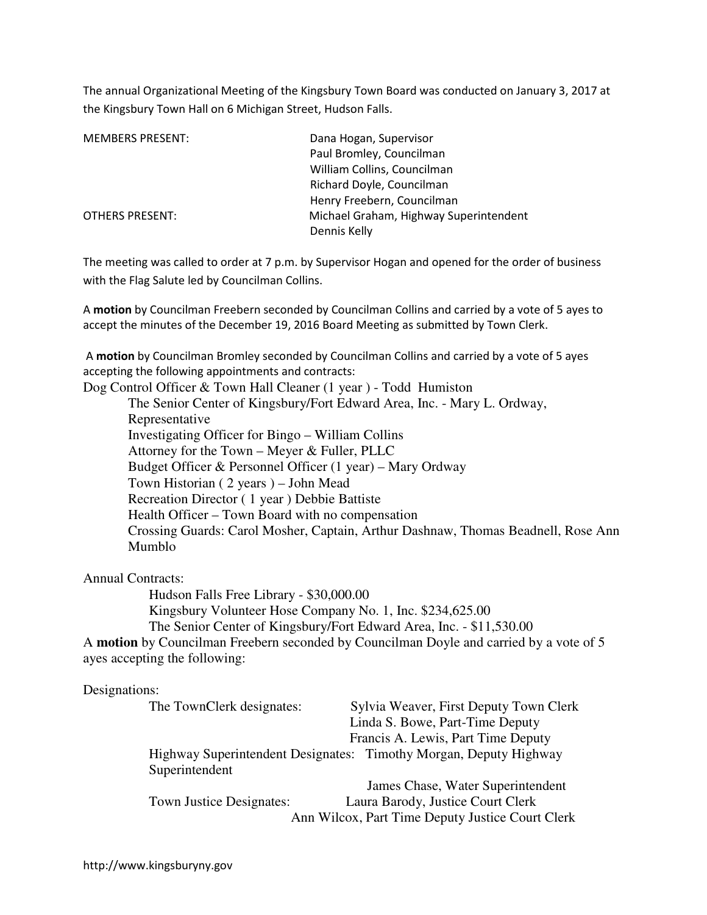The annual Organizational Meeting of the Kingsbury Town Board was conducted on January 3, 2017 at the Kingsbury Town Hall on 6 Michigan Street, Hudson Falls.

| <b>MEMBERS PRESENT:</b> | Dana Hogan, Supervisor                 |
|-------------------------|----------------------------------------|
|                         | Paul Bromley, Councilman               |
|                         | William Collins, Councilman            |
|                         | Richard Doyle, Councilman              |
|                         | Henry Freebern, Councilman             |
| <b>OTHERS PRESENT:</b>  | Michael Graham, Highway Superintendent |
|                         | Dennis Kelly                           |

The meeting was called to order at 7 p.m. by Supervisor Hogan and opened for the order of business with the Flag Salute led by Councilman Collins.

A **motion** by Councilman Freebern seconded by Councilman Collins and carried by a vote of 5 ayes to accept the minutes of the December 19, 2016 Board Meeting as submitted by Town Clerk.

 A **motion** by Councilman Bromley seconded by Councilman Collins and carried by a vote of 5 ayes accepting the following appointments and contracts:

Dog Control Officer & Town Hall Cleaner (1 year ) - Todd Humiston

The Senior Center of Kingsbury/Fort Edward Area, Inc. - Mary L. Ordway, Representative Investigating Officer for Bingo – William Collins Attorney for the Town – Meyer & Fuller, PLLC Budget Officer & Personnel Officer (1 year) – Mary Ordway Town Historian ( 2 years ) – John Mead Recreation Director ( 1 year ) Debbie Battiste Health Officer – Town Board with no compensation Crossing Guards: Carol Mosher, Captain, Arthur Dashnaw, Thomas Beadnell, Rose Ann Mumblo

Annual Contracts:

Hudson Falls Free Library - \$30,000.00 Kingsbury Volunteer Hose Company No. 1, Inc. \$234,625.00 The Senior Center of Kingsbury/Fort Edward Area, Inc. - \$11,530.00 A **motion** by Councilman Freebern seconded by Councilman Doyle and carried by a vote of 5

# ayes accepting the following:

#### Designations:

| The TownClerk designates: | Sylvia Weaver, First Deputy Town Clerk                            |
|---------------------------|-------------------------------------------------------------------|
|                           | Linda S. Bowe, Part-Time Deputy                                   |
|                           | Francis A. Lewis, Part Time Deputy                                |
|                           | Highway Superintendent Designates: Timothy Morgan, Deputy Highway |
| Superintendent            |                                                                   |
|                           | James Chase, Water Superintendent                                 |
| Town Justice Designates:  | Laura Barody, Justice Court Clerk                                 |
|                           | Ann Wilcox, Part Time Deputy Justice Court Clerk                  |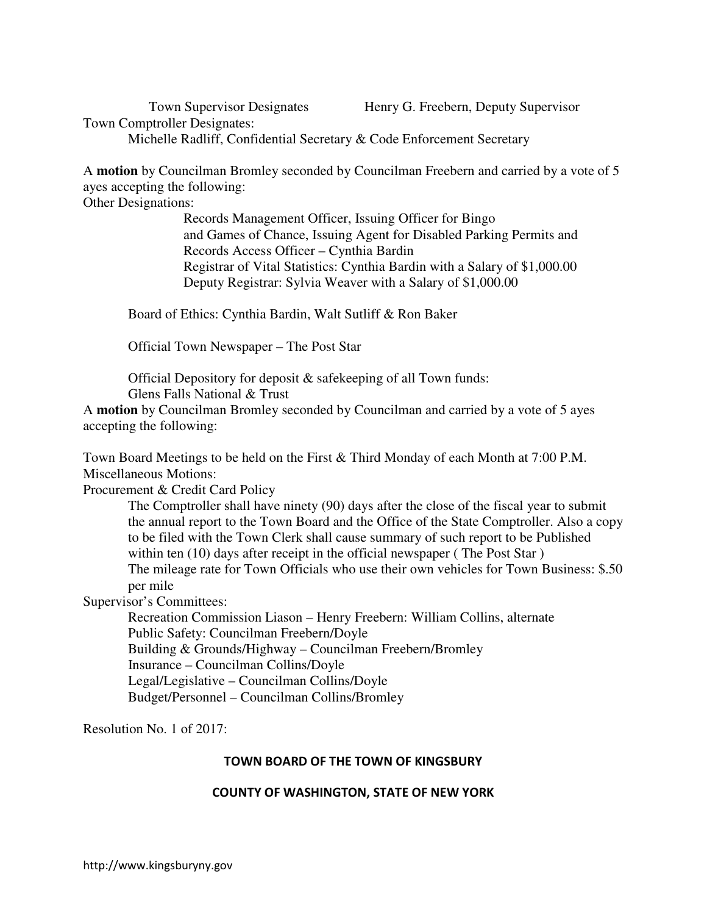Town Supervisor Designates Henry G. Freebern, Deputy Supervisor

Town Comptroller Designates: Michelle Radliff, Confidential Secretary & Code Enforcement Secretary

A **motion** by Councilman Bromley seconded by Councilman Freebern and carried by a vote of 5

ayes accepting the following:

Other Designations:

 Records Management Officer, Issuing Officer for Bingo and Games of Chance, Issuing Agent for Disabled Parking Permits and Records Access Officer – Cynthia Bardin Registrar of Vital Statistics: Cynthia Bardin with a Salary of \$1,000.00 Deputy Registrar: Sylvia Weaver with a Salary of \$1,000.00

Board of Ethics: Cynthia Bardin, Walt Sutliff & Ron Baker

Official Town Newspaper – The Post Star

Official Depository for deposit & safekeeping of all Town funds: Glens Falls National & Trust

A **motion** by Councilman Bromley seconded by Councilman and carried by a vote of 5 ayes accepting the following:

Town Board Meetings to be held on the First & Third Monday of each Month at 7:00 P.M. Miscellaneous Motions:

Procurement & Credit Card Policy

The Comptroller shall have ninety (90) days after the close of the fiscal year to submit the annual report to the Town Board and the Office of the State Comptroller. Also a copy to be filed with the Town Clerk shall cause summary of such report to be Published within ten (10) days after receipt in the official newspaper (The Post Star) The mileage rate for Town Officials who use their own vehicles for Town Business: \$.50 per mile

Supervisor's Committees:

 Recreation Commission Liason – Henry Freebern: William Collins, alternate Public Safety: Councilman Freebern/Doyle Building & Grounds/Highway – Councilman Freebern/Bromley Insurance – Councilman Collins/Doyle Legal/Legislative – Councilman Collins/Doyle Budget/Personnel – Councilman Collins/Bromley

Resolution No. 1 of 2017:

#### **TOWN BOARD OF THE TOWN OF KINGSBURY**

#### **COUNTY OF WASHINGTON, STATE OF NEW YORK**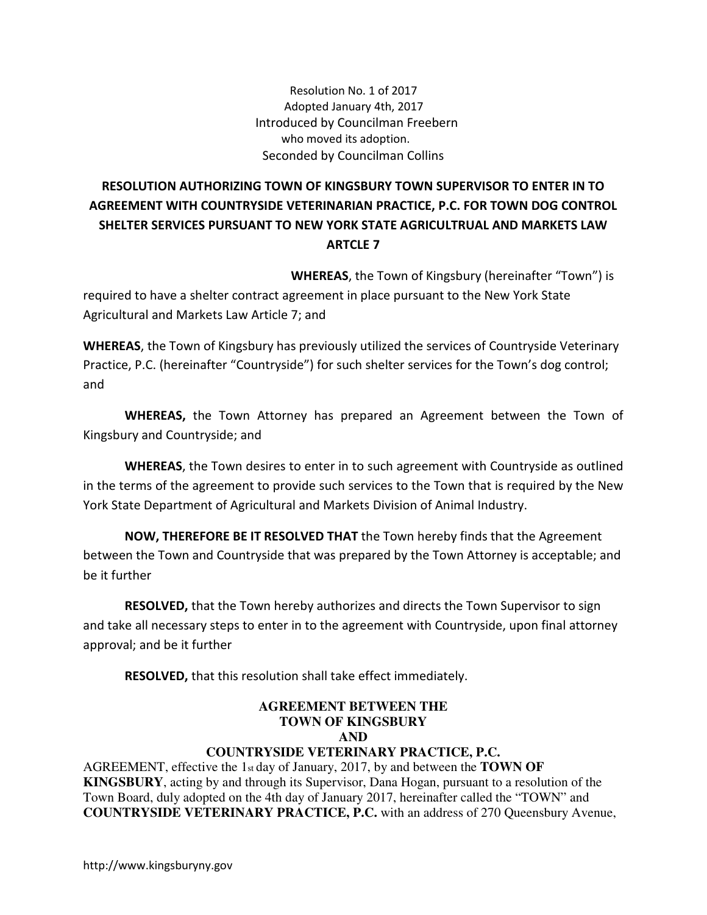Resolution No. 1 of 2017 Adopted January 4th, 2017 Introduced by Councilman Freebern who moved its adoption. Seconded by Councilman Collins

## **RESOLUTION AUTHORIZING TOWN OF KINGSBURY TOWN SUPERVISOR TO ENTER IN TO AGREEMENT WITH COUNTRYSIDE VETERINARIAN PRACTICE, P.C. FOR TOWN DOG CONTROL SHELTER SERVICES PURSUANT TO NEW YORK STATE AGRICULTRUAL AND MARKETS LAW ARTCLE 7**

 **WHEREAS**, the Town of Kingsbury (hereinafter "Town") is

required to have a shelter contract agreement in place pursuant to the New York State Agricultural and Markets Law Article 7; and

**WHEREAS**, the Town of Kingsbury has previously utilized the services of Countryside Veterinary Practice, P.C. (hereinafter "Countryside") for such shelter services for the Town's dog control; and

**WHEREAS,** the Town Attorney has prepared an Agreement between the Town of Kingsbury and Countryside; and

**WHEREAS**, the Town desires to enter in to such agreement with Countryside as outlined in the terms of the agreement to provide such services to the Town that is required by the New York State Department of Agricultural and Markets Division of Animal Industry.

**NOW, THEREFORE BE IT RESOLVED THAT** the Town hereby finds that the Agreement between the Town and Countryside that was prepared by the Town Attorney is acceptable; and be it further

**RESOLVED,** that the Town hereby authorizes and directs the Town Supervisor to sign and take all necessary steps to enter in to the agreement with Countryside, upon final attorney approval; and be it further

**RESOLVED,** that this resolution shall take effect immediately.

#### **AGREEMENT BETWEEN THE TOWN OF KINGSBURY AND**

### **COUNTRYSIDE VETERINARY PRACTICE, P.C.**

AGREEMENT, effective the 1st day of January, 2017, by and between the **TOWN OF KINGSBURY**, acting by and through its Supervisor, Dana Hogan, pursuant to a resolution of the Town Board, duly adopted on the 4th day of January 2017, hereinafter called the "TOWN" and **COUNTRYSIDE VETERINARY PRACTICE, P.C.** with an address of 270 Queensbury Avenue,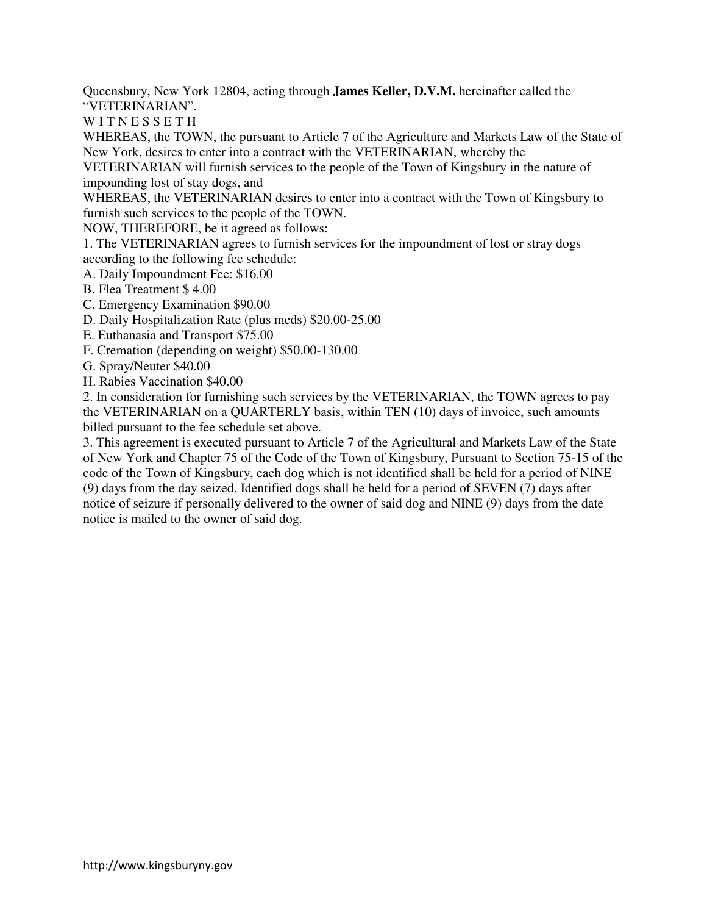Queensbury, New York 12804, acting through **James Keller, D.V.M.** hereinafter called the "VETERINARIAN".

WITNESSETH

WHEREAS, the TOWN, the pursuant to Article 7 of the Agriculture and Markets Law of the State of New York, desires to enter into a contract with the VETERINARIAN, whereby the

VETERINARIAN will furnish services to the people of the Town of Kingsbury in the nature of impounding lost of stay dogs, and

WHEREAS, the VETERINARIAN desires to enter into a contract with the Town of Kingsbury to furnish such services to the people of the TOWN.

NOW, THEREFORE, be it agreed as follows:

1. The VETERINARIAN agrees to furnish services for the impoundment of lost or stray dogs according to the following fee schedule:

A. Daily Impoundment Fee: \$16.00

- B. Flea Treatment \$ 4.00
- C. Emergency Examination \$90.00
- D. Daily Hospitalization Rate (plus meds) \$20.00-25.00
- E. Euthanasia and Transport \$75.00
- F. Cremation (depending on weight) \$50.00-130.00
- G. Spray/Neuter \$40.00
- H. Rabies Vaccination \$40.00

2. In consideration for furnishing such services by the VETERINARIAN, the TOWN agrees to pay the VETERINARIAN on a QUARTERLY basis, within TEN (10) days of invoice, such amounts billed pursuant to the fee schedule set above.

3. This agreement is executed pursuant to Article 7 of the Agricultural and Markets Law of the State of New York and Chapter 75 of the Code of the Town of Kingsbury, Pursuant to Section 75-15 of the code of the Town of Kingsbury, each dog which is not identified shall be held for a period of NINE (9) days from the day seized. Identified dogs shall be held for a period of SEVEN (7) days after notice of seizure if personally delivered to the owner of said dog and NINE (9) days from the date notice is mailed to the owner of said dog.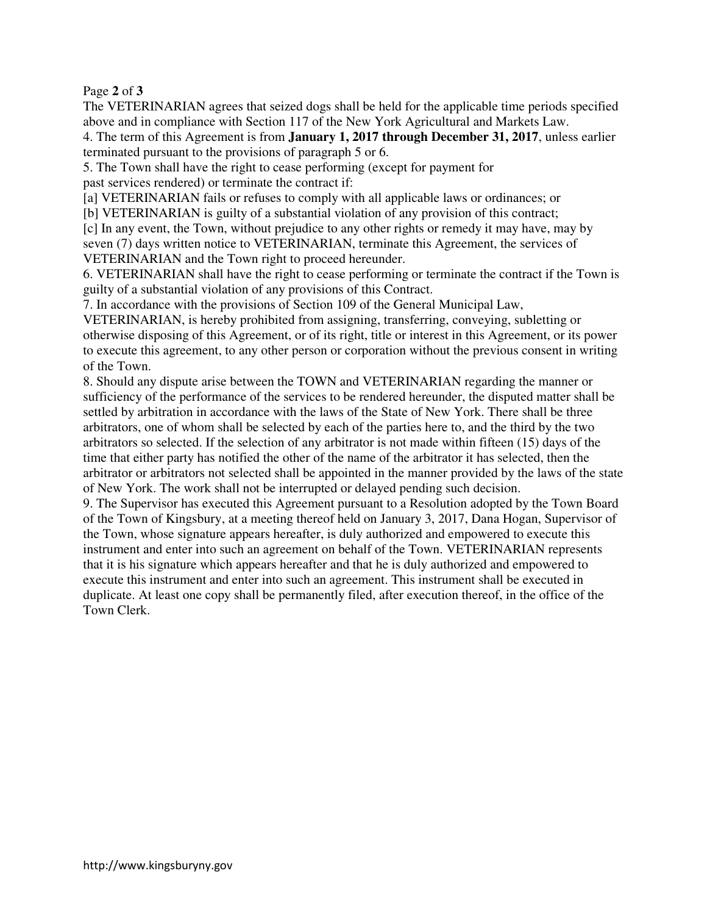Page **2** of **3** 

The VETERINARIAN agrees that seized dogs shall be held for the applicable time periods specified above and in compliance with Section 117 of the New York Agricultural and Markets Law.

4. The term of this Agreement is from **January 1, 2017 through December 31, 2017**, unless earlier terminated pursuant to the provisions of paragraph 5 or 6.

5. The Town shall have the right to cease performing (except for payment for past services rendered) or terminate the contract if:

[a] VETERINARIAN fails or refuses to comply with all applicable laws or ordinances; or

[b] VETERINARIAN is guilty of a substantial violation of any provision of this contract;

[c] In any event, the Town, without prejudice to any other rights or remedy it may have, may by seven (7) days written notice to VETERINARIAN, terminate this Agreement, the services of VETERINARIAN and the Town right to proceed hereunder.

6. VETERINARIAN shall have the right to cease performing or terminate the contract if the Town is guilty of a substantial violation of any provisions of this Contract.

7. In accordance with the provisions of Section 109 of the General Municipal Law,

VETERINARIAN, is hereby prohibited from assigning, transferring, conveying, subletting or otherwise disposing of this Agreement, or of its right, title or interest in this Agreement, or its power to execute this agreement, to any other person or corporation without the previous consent in writing of the Town.

8. Should any dispute arise between the TOWN and VETERINARIAN regarding the manner or sufficiency of the performance of the services to be rendered hereunder, the disputed matter shall be settled by arbitration in accordance with the laws of the State of New York. There shall be three arbitrators, one of whom shall be selected by each of the parties here to, and the third by the two arbitrators so selected. If the selection of any arbitrator is not made within fifteen (15) days of the time that either party has notified the other of the name of the arbitrator it has selected, then the arbitrator or arbitrators not selected shall be appointed in the manner provided by the laws of the state of New York. The work shall not be interrupted or delayed pending such decision.

9. The Supervisor has executed this Agreement pursuant to a Resolution adopted by the Town Board of the Town of Kingsbury, at a meeting thereof held on January 3, 2017, Dana Hogan, Supervisor of the Town, whose signature appears hereafter, is duly authorized and empowered to execute this instrument and enter into such an agreement on behalf of the Town. VETERINARIAN represents that it is his signature which appears hereafter and that he is duly authorized and empowered to execute this instrument and enter into such an agreement. This instrument shall be executed in duplicate. At least one copy shall be permanently filed, after execution thereof, in the office of the Town Clerk.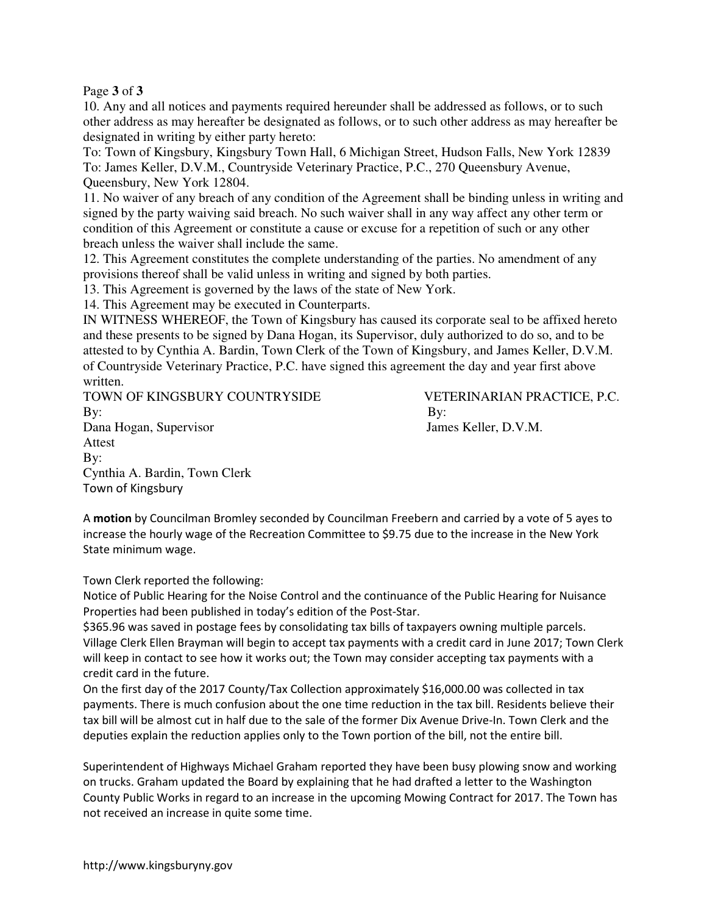Page **3** of **3** 

10. Any and all notices and payments required hereunder shall be addressed as follows, or to such other address as may hereafter be designated as follows, or to such other address as may hereafter be designated in writing by either party hereto:

To: Town of Kingsbury, Kingsbury Town Hall, 6 Michigan Street, Hudson Falls, New York 12839 To: James Keller, D.V.M., Countryside Veterinary Practice, P.C., 270 Queensbury Avenue, Queensbury, New York 12804.

11. No waiver of any breach of any condition of the Agreement shall be binding unless in writing and signed by the party waiving said breach. No such waiver shall in any way affect any other term or condition of this Agreement or constitute a cause or excuse for a repetition of such or any other breach unless the waiver shall include the same.

12. This Agreement constitutes the complete understanding of the parties. No amendment of any provisions thereof shall be valid unless in writing and signed by both parties.

13. This Agreement is governed by the laws of the state of New York.

14. This Agreement may be executed in Counterparts.

IN WITNESS WHEREOF, the Town of Kingsbury has caused its corporate seal to be affixed hereto and these presents to be signed by Dana Hogan, its Supervisor, duly authorized to do so, and to be attested to by Cynthia A. Bardin, Town Clerk of the Town of Kingsbury, and James Keller, D.V.M. of Countryside Veterinary Practice, P.C. have signed this agreement the day and year first above written.

TOWN OF KINGSBURY COUNTRYSIDE VETERINARIAN PRACTICE, P.C. By: By: Dana Hogan, Supervisor James Keller, D.V.M. Attest By: Cynthia A. Bardin, Town Clerk Town of Kingsbury

A **motion** by Councilman Bromley seconded by Councilman Freebern and carried by a vote of 5 ayes to increase the hourly wage of the Recreation Committee to \$9.75 due to the increase in the New York State minimum wage.

Town Clerk reported the following:

Notice of Public Hearing for the Noise Control and the continuance of the Public Hearing for Nuisance Properties had been published in today's edition of the Post-Star.

\$365.96 was saved in postage fees by consolidating tax bills of taxpayers owning multiple parcels. Village Clerk Ellen Brayman will begin to accept tax payments with a credit card in June 2017; Town Clerk will keep in contact to see how it works out; the Town may consider accepting tax payments with a credit card in the future.

On the first day of the 2017 County/Tax Collection approximately \$16,000.00 was collected in tax payments. There is much confusion about the one time reduction in the tax bill. Residents believe their tax bill will be almost cut in half due to the sale of the former Dix Avenue Drive-In. Town Clerk and the deputies explain the reduction applies only to the Town portion of the bill, not the entire bill.

Superintendent of Highways Michael Graham reported they have been busy plowing snow and working on trucks. Graham updated the Board by explaining that he had drafted a letter to the Washington County Public Works in regard to an increase in the upcoming Mowing Contract for 2017. The Town has not received an increase in quite some time.